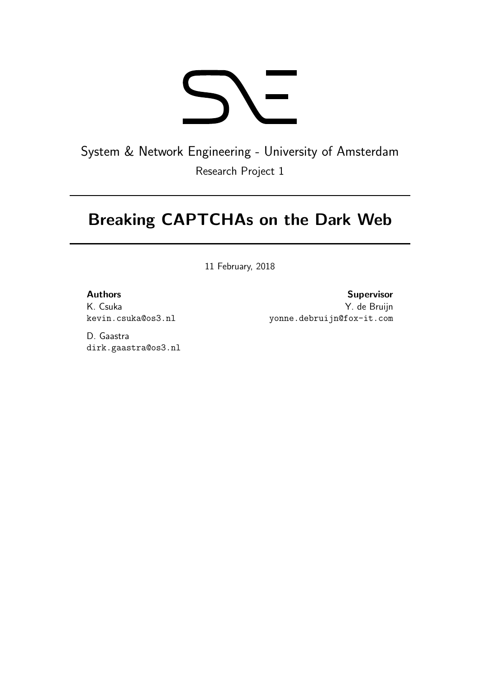

System & Network Engineering - University of Amsterdam Research Project 1

# Breaking CAPTCHAs on the Dark Web

11 February, 2018

#### Authors

K. Csuka kevin.csuka@os3.nl

Supervisor Y. de Bruijn yonne.debruijn@fox-it.com

D. Gaastra dirk.gaastra@os3.nl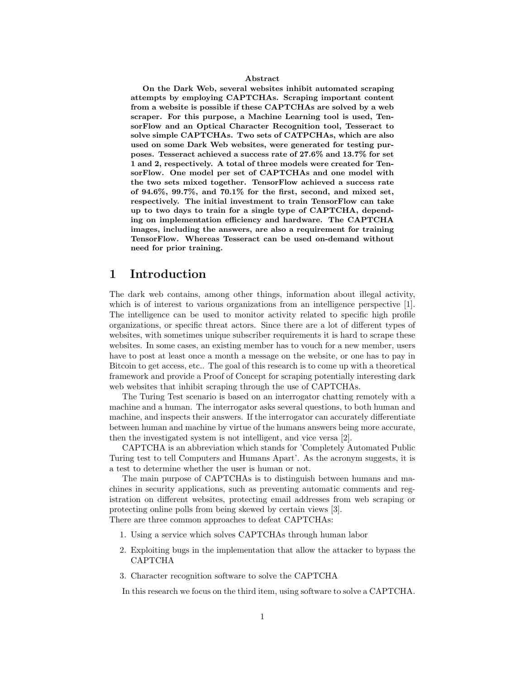#### Abstract

On the Dark Web, several websites inhibit automated scraping attempts by employing CAPTCHAs. Scraping important content from a website is possible if these CAPTCHAs are solved by a web scraper. For this purpose, a Machine Learning tool is used, TensorFlow and an Optical Character Recognition tool, Tesseract to solve simple CAPTCHAs. Two sets of CATPCHAs, which are also used on some Dark Web websites, were generated for testing purposes. Tesseract achieved a success rate of 27.6% and 13.7% for set 1 and 2, respectively. A total of three models were created for TensorFlow. One model per set of CAPTCHAs and one model with the two sets mixed together. TensorFlow achieved a success rate of 94.6%, 99.7%, and 70.1% for the first, second, and mixed set, respectively. The initial investment to train TensorFlow can take up to two days to train for a single type of CAPTCHA, depending on implementation efficiency and hardware. The CAPTCHA images, including the answers, are also a requirement for training TensorFlow. Whereas Tesseract can be used on-demand without need for prior training.

### 1 Introduction

The dark web contains, among other things, information about illegal activity, which is of interest to various organizations from an intelligence perspective [1]. The intelligence can be used to monitor activity related to specific high profile organizations, or specific threat actors. Since there are a lot of different types of websites, with sometimes unique subscriber requirements it is hard to scrape these websites. In some cases, an existing member has to vouch for a new member, users have to post at least once a month a message on the website, or one has to pay in Bitcoin to get access, etc.. The goal of this research is to come up with a theoretical framework and provide a Proof of Concept for scraping potentially interesting dark web websites that inhibit scraping through the use of CAPTCHAs.

The Turing Test scenario is based on an interrogator chatting remotely with a machine and a human. The interrogator asks several questions, to both human and machine, and inspects their answers. If the interrogator can accurately differentiate between human and machine by virtue of the humans answers being more accurate, then the investigated system is not intelligent, and vice versa [2].

CAPTCHA is an abbreviation which stands for 'Completely Automated Public Turing test to tell Computers and Humans Apart'. As the acronym suggests, it is a test to determine whether the user is human or not.

The main purpose of CAPTCHAs is to distinguish between humans and machines in security applications, such as preventing automatic comments and registration on different websites, protecting email addresses from web scraping or protecting online polls from being skewed by certain views [3]. There are three common approaches to defeat CAPTCHAs:

- 1. Using a service which solves CAPTCHAs through human labor
- 2. Exploiting bugs in the implementation that allow the attacker to bypass the CAPTCHA
- 3. Character recognition software to solve the CAPTCHA

In this research we focus on the third item, using software to solve a CAPTCHA.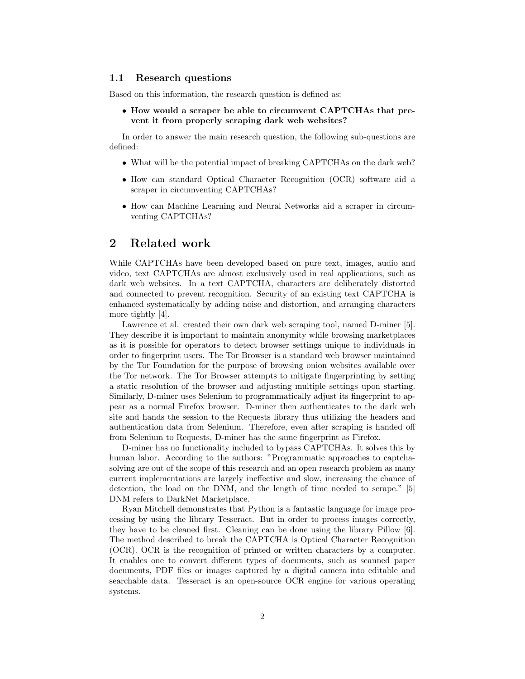#### 1.1 Research questions

Based on this information, the research question is defined as:

#### • How would a scraper be able to circumvent CAPTCHAs that prevent it from properly scraping dark web websites?

In order to answer the main research question, the following sub-questions are defined:

- What will be the potential impact of breaking CAPTCHAs on the dark web?
- How can standard Optical Character Recognition (OCR) software aid a scraper in circumventing CAPTCHAs?
- How can Machine Learning and Neural Networks aid a scraper in circumventing CAPTCHAs?

#### 2 Related work

While CAPTCHAs have been developed based on pure text, images, audio and video, text CAPTCHAs are almost exclusively used in real applications, such as dark web websites. In a text CAPTCHA, characters are deliberately distorted and connected to prevent recognition. Security of an existing text CAPTCHA is enhanced systematically by adding noise and distortion, and arranging characters more tightly [4].

Lawrence et al. created their own dark web scraping tool, named D-miner [5]. They describe it is important to maintain anonymity while browsing marketplaces as it is possible for operators to detect browser settings unique to individuals in order to fingerprint users. The Tor Browser is a standard web browser maintained by the Tor Foundation for the purpose of browsing onion websites available over the Tor network. The Tor Browser attempts to mitigate fingerprinting by setting a static resolution of the browser and adjusting multiple settings upon starting. Similarly, D-miner uses Selenium to programmatically adjust its fingerprint to appear as a normal Firefox browser. D-miner then authenticates to the dark web site and hands the session to the Requests library thus utilizing the headers and authentication data from Selenium. Therefore, even after scraping is handed off from Selenium to Requests, D-miner has the same fingerprint as Firefox.

D-miner has no functionality included to bypass CAPTCHAs. It solves this by human labor. According to the authors: "Programmatic approaches to captchasolving are out of the scope of this research and an open research problem as many current implementations are largely ineffective and slow, increasing the chance of detection, the load on the DNM, and the length of time needed to scrape." [5] DNM refers to DarkNet Marketplace.

Ryan Mitchell demonstrates that Python is a fantastic language for image processing by using the library Tesseract. But in order to process images correctly, they have to be cleaned first. Cleaning can be done using the library Pillow [6]. The method described to break the CAPTCHA is Optical Character Recognition (OCR). OCR is the recognition of printed or written characters by a computer. It enables one to convert different types of documents, such as scanned paper documents, PDF files or images captured by a digital camera into editable and searchable data. Tesseract is an open-source OCR engine for various operating systems.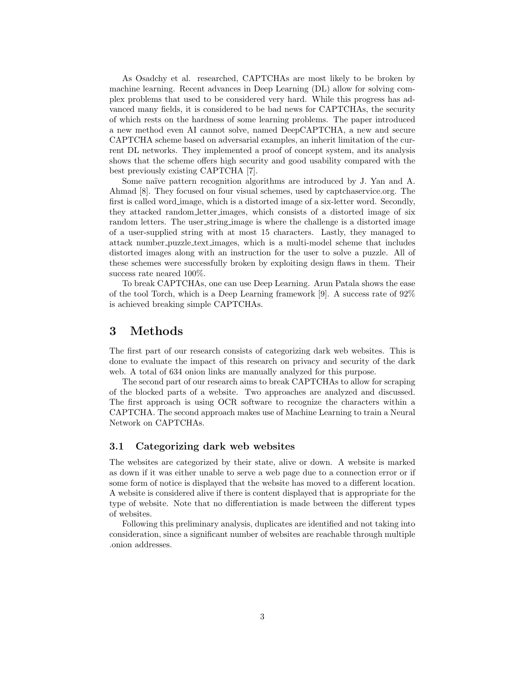As Osadchy et al. researched, CAPTCHAs are most likely to be broken by machine learning. Recent advances in Deep Learning (DL) allow for solving complex problems that used to be considered very hard. While this progress has advanced many fields, it is considered to be bad news for CAPTCHAs, the security of which rests on the hardness of some learning problems. The paper introduced a new method even AI cannot solve, named DeepCAPTCHA, a new and secure CAPTCHA scheme based on adversarial examples, an inherit limitation of the current DL networks. They implemented a proof of concept system, and its analysis shows that the scheme offers high security and good usability compared with the best previously existing CAPTCHA [7].

Some naïve pattern recognition algorithms are introduced by J. Yan and A. Ahmad [8]. They focused on four visual schemes, used by captchaservice.org. The first is called word image, which is a distorted image of a six-letter word. Secondly, they attacked random letter images, which consists of a distorted image of six random letters. The user\_string\_image is where the challenge is a distorted image of a user-supplied string with at most 15 characters. Lastly, they managed to attack number puzzle text images, which is a multi-model scheme that includes distorted images along with an instruction for the user to solve a puzzle. All of these schemes were successfully broken by exploiting design flaws in them. Their success rate neared 100%.

To break CAPTCHAs, one can use Deep Learning. Arun Patala shows the ease of the tool Torch, which is a Deep Learning framework [9]. A success rate of 92% is achieved breaking simple CAPTCHAs.

### 3 Methods

The first part of our research consists of categorizing dark web websites. This is done to evaluate the impact of this research on privacy and security of the dark web. A total of 634 onion links are manually analyzed for this purpose.

The second part of our research aims to break CAPTCHAs to allow for scraping of the blocked parts of a website. Two approaches are analyzed and discussed. The first approach is using OCR software to recognize the characters within a CAPTCHA. The second approach makes use of Machine Learning to train a Neural Network on CAPTCHAs.

#### 3.1 Categorizing dark web websites

The websites are categorized by their state, alive or down. A website is marked as down if it was either unable to serve a web page due to a connection error or if some form of notice is displayed that the website has moved to a different location. A website is considered alive if there is content displayed that is appropriate for the type of website. Note that no differentiation is made between the different types of websites.

Following this preliminary analysis, duplicates are identified and not taking into consideration, since a significant number of websites are reachable through multiple .onion addresses.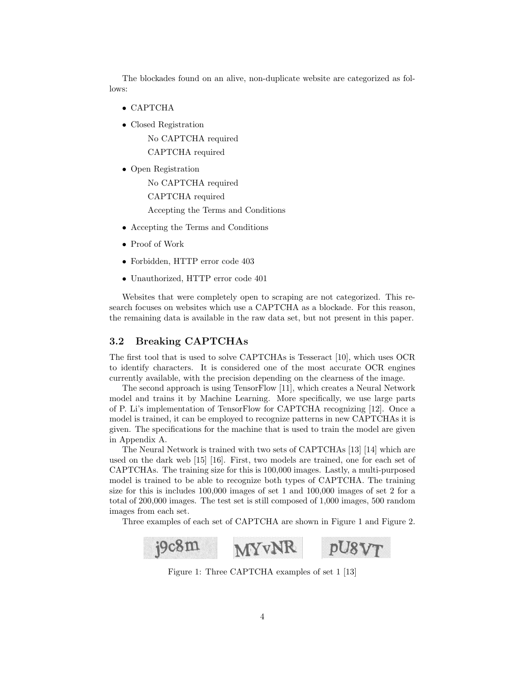The blockades found on an alive, non-duplicate website are categorized as follows:

- CAPTCHA
- Closed Registration

No CAPTCHA required CAPTCHA required

• Open Registration

No CAPTCHA required CAPTCHA required Accepting the Terms and Conditions

- Accepting the Terms and Conditions
- Proof of Work
- Forbidden, HTTP error code 403
- Unauthorized, HTTP error code 401

Websites that were completely open to scraping are not categorized. This research focuses on websites which use a CAPTCHA as a blockade. For this reason, the remaining data is available in the raw data set, but not present in this paper.

#### 3.2 Breaking CAPTCHAs

The first tool that is used to solve CAPTCHAs is Tesseract [10], which uses OCR to identify characters. It is considered one of the most accurate OCR engines currently available, with the precision depending on the clearness of the image.

The second approach is using TensorFlow [11], which creates a Neural Network model and trains it by Machine Learning. More specifically, we use large parts of P. Li's implementation of TensorFlow for CAPTCHA recognizing [12]. Once a model is trained, it can be employed to recognize patterns in new CAPTCHAs it is given. The specifications for the machine that is used to train the model are given in Appendix A.

The Neural Network is trained with two sets of CAPTCHAs [13] [14] which are used on the dark web [15] [16]. First, two models are trained, one for each set of CAPTCHAs. The training size for this is 100,000 images. Lastly, a multi-purposed model is trained to be able to recognize both types of CAPTCHA. The training size for this is includes 100,000 images of set 1 and 100,000 images of set 2 for a total of 200,000 images. The test set is still composed of 1,000 images, 500 random images from each set.

Three examples of each set of CAPTCHA are shown in Figure 1 and Figure 2.



Figure 1: Three CAPTCHA examples of set 1 [13]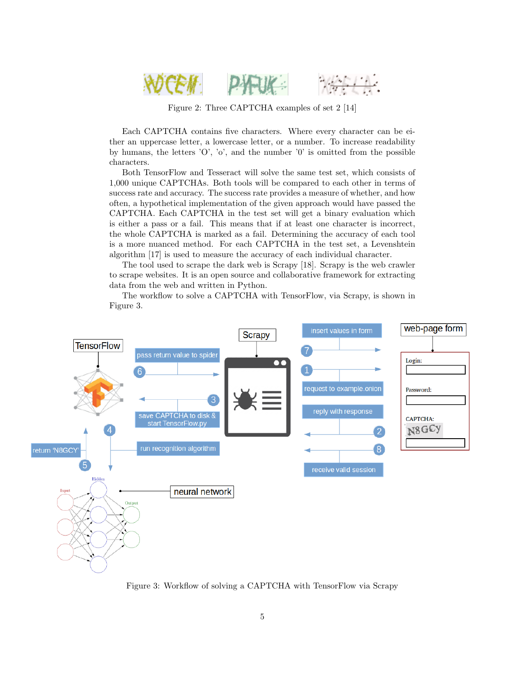

Figure 2: Three CAPTCHA examples of set 2 [14]

Each CAPTCHA contains five characters. Where every character can be either an uppercase letter, a lowercase letter, or a number. To increase readability by humans, the letters 'O', 'o', and the number 'O' is omitted from the possible characters.

Both TensorFlow and Tesseract will solve the same test set, which consists of 1,000 unique CAPTCHAs. Both tools will be compared to each other in terms of success rate and accuracy. The success rate provides a measure of whether, and how often, a hypothetical implementation of the given approach would have passed the CAPTCHA. Each CAPTCHA in the test set will get a binary evaluation which is either a pass or a fail. This means that if at least one character is incorrect, the whole CAPTCHA is marked as a fail. Determining the accuracy of each tool is a more nuanced method. For each CAPTCHA in the test set, a Levenshtein algorithm [17] is used to measure the accuracy of each individual character.

The tool used to scrape the dark web is Scrapy [18]. Scrapy is the web crawler to scrape websites. It is an open source and collaborative framework for extracting data from the web and written in Python.

The workflow to solve a CAPTCHA with TensorFlow, via Scrapy, is shown in Figure 3.



Figure 3: Workflow of solving a CAPTCHA with TensorFlow via Scrapy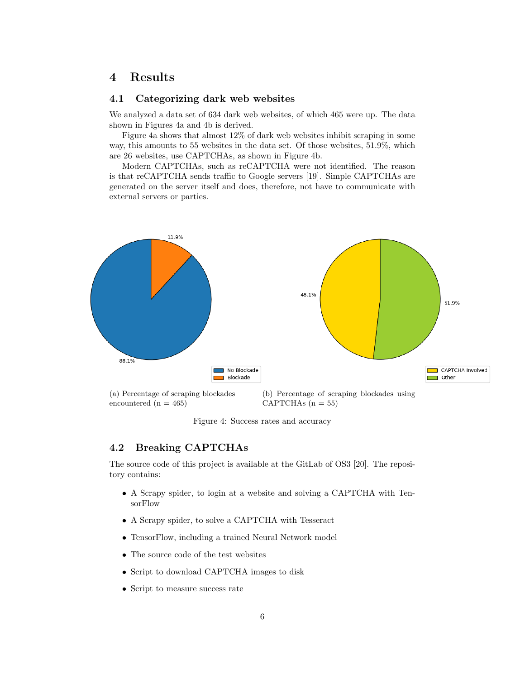### 4 Results

#### 4.1 Categorizing dark web websites

We analyzed a data set of 634 dark web websites, of which 465 were up. The data shown in Figures 4a and 4b is derived.

Figure 4a shows that almost 12% of dark web websites inhibit scraping in some way, this amounts to 55 websites in the data set. Of those websites, 51.9%, which are 26 websites, use CAPTCHAs, as shown in Figure 4b.

Modern CAPTCHAs, such as reCAPTCHA were not identified. The reason is that reCAPTCHA sends traffic to Google servers [19]. Simple CAPTCHAs are generated on the server itself and does, therefore, not have to communicate with external servers or parties.



Figure 4: Success rates and accuracy

#### 4.2 Breaking CAPTCHAs

The source code of this project is available at the GitLab of OS3 [20]. The repository contains:

- A Scrapy spider, to login at a website and solving a CAPTCHA with TensorFlow
- A Scrapy spider, to solve a CAPTCHA with Tesseract
- TensorFlow, including a trained Neural Network model
- The source code of the test websites
- Script to download CAPTCHA images to disk
- Script to measure success rate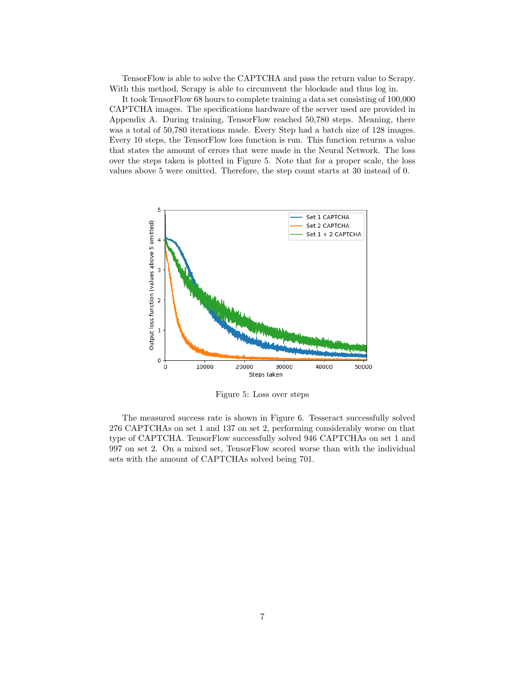TensorFlow is able to solve the CAPTCHA and pass the return value to Scrapy. With this method, Scrapy is able to circumvent the blockade and thus log in.

It took TensorFlow 68 hours to complete training a data set consisting of 100,000 CAPTCHA images. The specifications hardware of the server used are provided in Appendix A. During training, TensorFlow reached 50,780 steps. Meaning, there was a total of 50,780 iterations made. Every Step had a batch size of 128 images. Every 10 steps, the TensorFlow loss function is run. This function returns a value that states the amount of errors that were made in the Neural Network. The loss over the steps taken is plotted in Figure 5. Note that for a proper scale, the loss values above 5 were omitted. Therefore, the step count starts at 30 instead of 0.



Figure 5: Loss over steps

The measured success rate is shown in Figure 6. Tesseract successfully solved 276 CAPTCHAs on set 1 and 137 on set 2, performing considerably worse on that type of CAPTCHA. TensorFlow successfully solved 946 CAPTCHAs on set 1 and 997 on set 2. On a mixed set, TensorFlow scored worse than with the individual sets with the amount of CAPTCHAs solved being 701.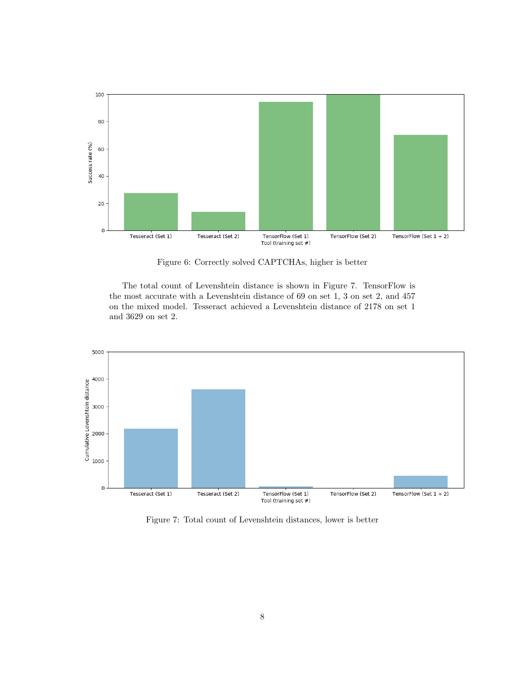

Figure 6: Correctly solved CAPTCHAs, higher is better

The total count of Levenshtein distance is shown in Figure 7. TensorFlow is the most accurate with a Levenshtein distance of 69 on set 1, 3 on set 2, and 457 on the mixed model. Tesseract achieved a Levenshtein distance of 2178 on set 1 and 3629 on set 2.



Figure 7: Total count of Levenshtein distances, lower is better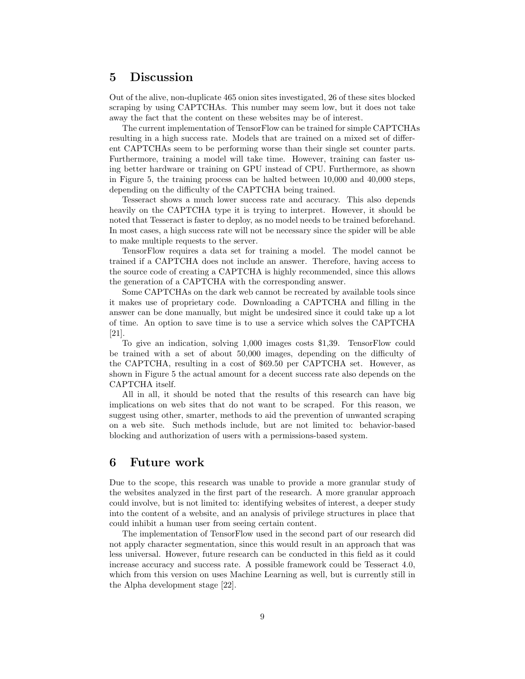#### 5 Discussion

Out of the alive, non-duplicate 465 onion sites investigated, 26 of these sites blocked scraping by using CAPTCHAs. This number may seem low, but it does not take away the fact that the content on these websites may be of interest.

The current implementation of TensorFlow can be trained for simple CAPTCHAs resulting in a high success rate. Models that are trained on a mixed set of different CAPTCHAs seem to be performing worse than their single set counter parts. Furthermore, training a model will take time. However, training can faster using better hardware or training on GPU instead of CPU. Furthermore, as shown in Figure 5, the training process can be halted between 10,000 and 40,000 steps, depending on the difficulty of the CAPTCHA being trained.

Tesseract shows a much lower success rate and accuracy. This also depends heavily on the CAPTCHA type it is trying to interpret. However, it should be noted that Tesseract is faster to deploy, as no model needs to be trained beforehand. In most cases, a high success rate will not be necessary since the spider will be able to make multiple requests to the server.

TensorFlow requires a data set for training a model. The model cannot be trained if a CAPTCHA does not include an answer. Therefore, having access to the source code of creating a CAPTCHA is highly recommended, since this allows the generation of a CAPTCHA with the corresponding answer.

Some CAPTCHAs on the dark web cannot be recreated by available tools since it makes use of proprietary code. Downloading a CAPTCHA and filling in the answer can be done manually, but might be undesired since it could take up a lot of time. An option to save time is to use a service which solves the CAPTCHA [21].

To give an indication, solving 1,000 images costs \$1,39. TensorFlow could be trained with a set of about 50,000 images, depending on the difficulty of the CAPTCHA, resulting in a cost of \$69.50 per CAPTCHA set. However, as shown in Figure 5 the actual amount for a decent success rate also depends on the CAPTCHA itself.

All in all, it should be noted that the results of this research can have big implications on web sites that do not want to be scraped. For this reason, we suggest using other, smarter, methods to aid the prevention of unwanted scraping on a web site. Such methods include, but are not limited to: behavior-based blocking and authorization of users with a permissions-based system.

### 6 Future work

Due to the scope, this research was unable to provide a more granular study of the websites analyzed in the first part of the research. A more granular approach could involve, but is not limited to: identifying websites of interest, a deeper study into the content of a website, and an analysis of privilege structures in place that could inhibit a human user from seeing certain content.

The implementation of TensorFlow used in the second part of our research did not apply character segmentation, since this would result in an approach that was less universal. However, future research can be conducted in this field as it could increase accuracy and success rate. A possible framework could be Tesseract 4.0, which from this version on uses Machine Learning as well, but is currently still in the Alpha development stage [22].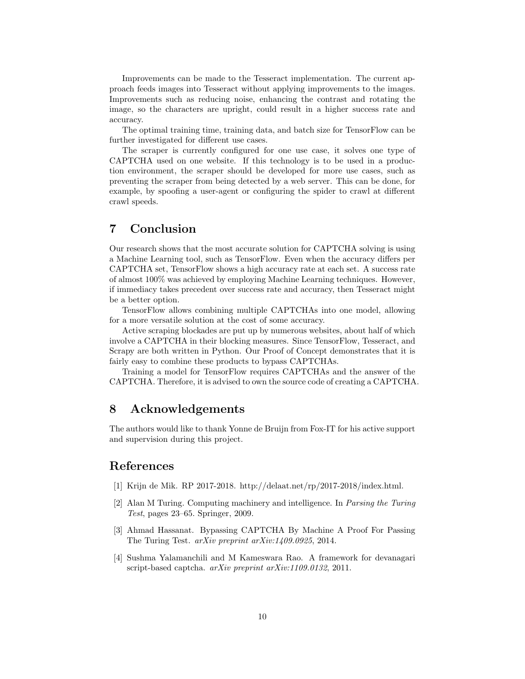Improvements can be made to the Tesseract implementation. The current approach feeds images into Tesseract without applying improvements to the images. Improvements such as reducing noise, enhancing the contrast and rotating the image, so the characters are upright, could result in a higher success rate and accuracy.

The optimal training time, training data, and batch size for TensorFlow can be further investigated for different use cases.

The scraper is currently configured for one use case, it solves one type of CAPTCHA used on one website. If this technology is to be used in a production environment, the scraper should be developed for more use cases, such as preventing the scraper from being detected by a web server. This can be done, for example, by spoofing a user-agent or configuring the spider to crawl at different crawl speeds.

### 7 Conclusion

Our research shows that the most accurate solution for CAPTCHA solving is using a Machine Learning tool, such as TensorFlow. Even when the accuracy differs per CAPTCHA set, TensorFlow shows a high accuracy rate at each set. A success rate of almost 100% was achieved by employing Machine Learning techniques. However, if immediacy takes precedent over success rate and accuracy, then Tesseract might be a better option.

TensorFlow allows combining multiple CAPTCHAs into one model, allowing for a more versatile solution at the cost of some accuracy.

Active scraping blockades are put up by numerous websites, about half of which involve a CAPTCHA in their blocking measures. Since TensorFlow, Tesseract, and Scrapy are both written in Python. Our Proof of Concept demonstrates that it is fairly easy to combine these products to bypass CAPTCHAs.

Training a model for TensorFlow requires CAPTCHAs and the answer of the CAPTCHA. Therefore, it is advised to own the source code of creating a CAPTCHA.

### 8 Acknowledgements

The authors would like to thank Yonne de Bruijn from Fox-IT for his active support and supervision during this project.

### References

- [1] Krijn de Mik. RP 2017-2018. http://delaat.net/rp/2017-2018/index.html.
- [2] Alan M Turing. Computing machinery and intelligence. In Parsing the Turing Test, pages 23–65. Springer, 2009.
- [3] Ahmad Hassanat. Bypassing CAPTCHA By Machine A Proof For Passing The Turing Test. arXiv preprint arXiv:1409.0925, 2014.
- [4] Sushma Yalamanchili and M Kameswara Rao. A framework for devanagari script-based captcha. *arXiv preprint arXiv:1109.0132*, 2011.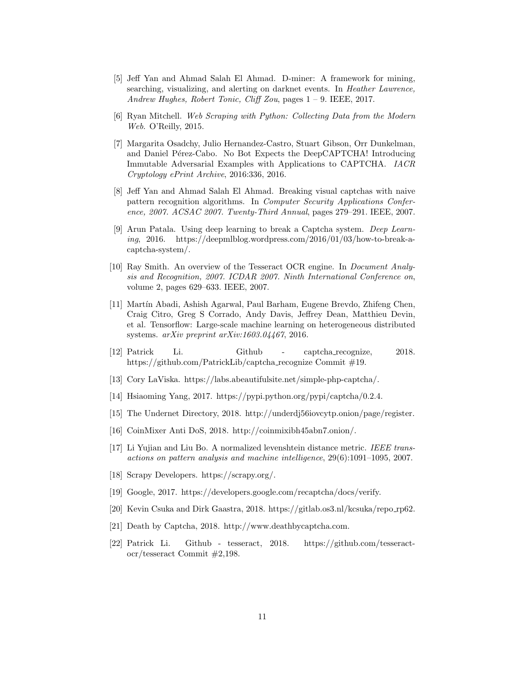- [5] Jeff Yan and Ahmad Salah El Ahmad. D-miner: A framework for mining, searching, visualizing, and alerting on darknet events. In Heather Lawrence, Andrew Hughes, Robert Tonic, Cliff Zou, pages 1 – 9. IEEE, 2017.
- [6] Ryan Mitchell. Web Scraping with Python: Collecting Data from the Modern Web. O'Reilly, 2015.
- [7] Margarita Osadchy, Julio Hernandez-Castro, Stuart Gibson, Orr Dunkelman, and Daniel Pérez-Cabo. No Bot Expects the DeepCAPTCHA! Introducing Immutable Adversarial Examples with Applications to CAPTCHA. IACR Cryptology ePrint Archive, 2016:336, 2016.
- [8] Jeff Yan and Ahmad Salah El Ahmad. Breaking visual captchas with naive pattern recognition algorithms. In Computer Security Applications Conference, 2007. ACSAC 2007. Twenty-Third Annual, pages 279–291. IEEE, 2007.
- [9] Arun Patala. Using deep learning to break a Captcha system. Deep Learning, 2016. https://deepmlblog.wordpress.com/2016/01/03/how-to-break-acaptcha-system/.
- [10] Ray Smith. An overview of the Tesseract OCR engine. In Document Analysis and Recognition, 2007. ICDAR 2007. Ninth International Conference on, volume 2, pages 629–633. IEEE, 2007.
- [11] Mart´ın Abadi, Ashish Agarwal, Paul Barham, Eugene Brevdo, Zhifeng Chen, Craig Citro, Greg S Corrado, Andy Davis, Jeffrey Dean, Matthieu Devin, et al. Tensorflow: Large-scale machine learning on heterogeneous distributed systems. arXiv preprint arXiv:1603.04467, 2016.
- [12] Patrick Li. Github captcha recognize, 2018. https://github.com/PatrickLib/captcha\_recognize Commit #19.
- [13] Cory LaViska. https://labs.abeautifulsite.net/simple-php-captcha/.
- [14] Hsiaoming Yang, 2017. https://pypi.python.org/pypi/captcha/0.2.4.
- [15] The Undernet Directory, 2018. http://underdj56iovcytp.onion/page/register.
- [16] CoinMixer Anti DoS, 2018. http://coinmixibh45abn7.onion/.
- [17] Li Yujian and Liu Bo. A normalized levenshtein distance metric. IEEE transactions on pattern analysis and machine intelligence, 29(6):1091–1095, 2007.
- [18] Scrapy Developers. https://scrapy.org/.
- [19] Google, 2017. https://developers.google.com/recaptcha/docs/verify.
- [20] Kevin Csuka and Dirk Gaastra, 2018. https://gitlab.os3.nl/kcsuka/repo rp62.
- [21] Death by Captcha, 2018. http://www.deathbycaptcha.com.
- [22] Patrick Li. Github tesseract, 2018. https://github.com/tesseractocr/tesseract Commit #2,198.